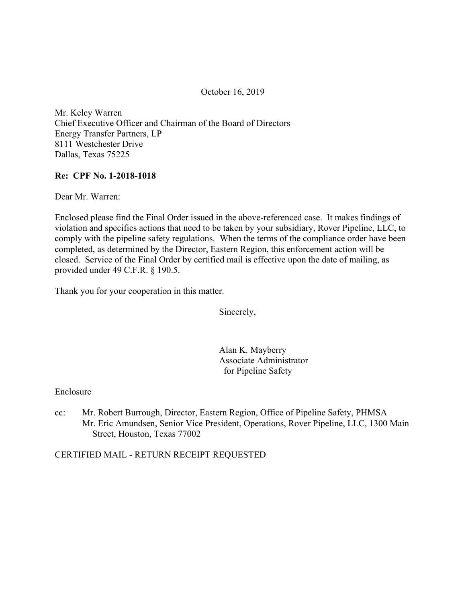October 16, 2019

Mr. Kelcy Warren Chief Executive Officer and Chairman of the Board of Directors Energy Transfer Partners, LP 8111 Westchester Drive Dallas, Texas 75225

### **Re: CPF No. 1-2018-1018**

Dear Mr. Warren:

Enclosed please find the Final Order issued in the above-referenced case. It makes findings of violation and specifies actions that need to be taken by your subsidiary, Rover Pipeline, LLC, to comply with the pipeline safety regulations. When the terms of the compliance order have been completed, as determined by the Director, Eastern Region, this enforcement action will be closed. Service of the Final Order by certified mail is effective upon the date of mailing, as provided under 49 C.F.R. § 190.5.

Thank you for your cooperation in this matter.

Sincerely,

Alan K. Mayberry Associate Administrator for Pipeline Safety

Enclosure

cc: Mr. Robert Burrough, Director, Eastern Region, Office of Pipeline Safety, PHMSA Mr. Eric Amundsen, Senior Vice President, Operations, Rover Pipeline, LLC, 1300 Main Street, Houston, Texas 77002

### CERTIFIED MAIL - RETURN RECEIPT REQUESTED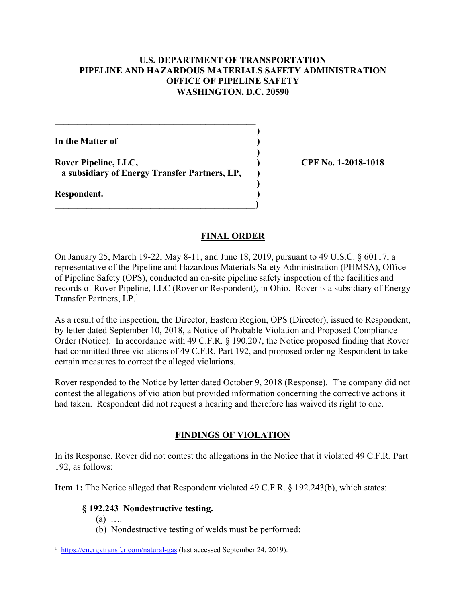### **U.S. DEPARTMENT OF TRANSPORTATION PIPELINE AND HAZARDOUS MATERIALS SAFETY ADMINISTRATION OFFICE OF PIPELINE SAFETY WASHINGTON, D.C. 20590**

**)** 

**)** 

**)** 

**In the Matter of )** 

**Rover Pipeline, LLC, ) CPF No. 1-2018-1018 a subsidiary of Energy Transfer Partners, LP, )** 

 $\overline{\phantom{a}}$ 

**\_\_\_\_\_\_\_\_\_\_\_\_\_\_\_\_\_\_\_\_\_\_\_\_\_\_\_\_\_\_\_\_\_\_\_\_\_\_\_\_\_\_\_\_** 

**Respondent. )** 

### **FINAL ORDER**

Transfer Partners, LP.<sup>1</sup> On January 25, March 19-22, May 8-11, and June 18, 2019, pursuant to 49 U.S.C. § 60117, a representative of the Pipeline and Hazardous Materials Safety Administration (PHMSA), Office of Pipeline Safety (OPS), conducted an on-site pipeline safety inspection of the facilities and records of Rover Pipeline, LLC (Rover or Respondent), in Ohio. Rover is a subsidiary of Energy

As a result of the inspection, the Director, Eastern Region, OPS (Director), issued to Respondent, by letter dated September 10, 2018, a Notice of Probable Violation and Proposed Compliance Order (Notice). In accordance with 49 C.F.R. § 190.207, the Notice proposed finding that Rover had committed three violations of 49 C.F.R. Part 192, and proposed ordering Respondent to take certain measures to correct the alleged violations.

Rover responded to the Notice by letter dated October 9, 2018 (Response). The company did not contest the allegations of violation but provided information concerning the corrective actions it had taken. Respondent did not request a hearing and therefore has waived its right to one.

# **FINDINGS OF VIOLATION**

In its Response, Rover did not contest the allegations in the Notice that it violated 49 C.F.R. Part 192, as follows:

**Item 1:** The Notice alleged that Respondent violated 49 C.F.R. § 192.243(b), which states:

## **§ 192.243 Nondestructive testing.**

(a) ….

1

(b) Nondestructive testing of welds must be performed:

<sup>&</sup>lt;sup>1</sup> <https://energytransfer.com/natural-gas>(last accessed September 24, 2019).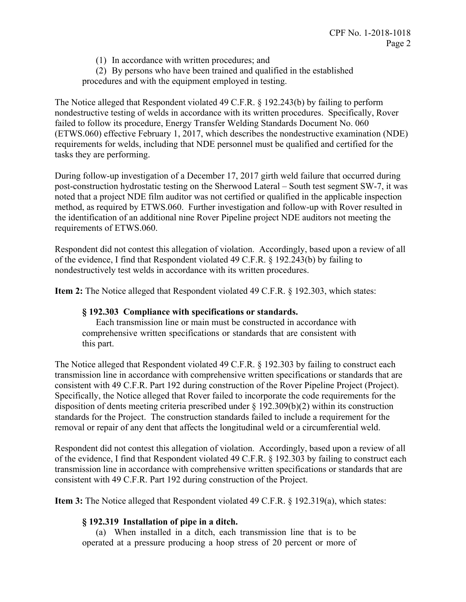(1) In accordance with written procedures; and

(2) By persons who have been trained and qualified in the established procedures and with the equipment employed in testing.

The Notice alleged that Respondent violated 49 C.F.R. § 192.243(b) by failing to perform nondestructive testing of welds in accordance with its written procedures. Specifically, Rover failed to follow its procedure, Energy Transfer Welding Standards Document No. 060 (ETWS.060) effective February 1, 2017, which describes the nondestructive examination (NDE) requirements for welds, including that NDE personnel must be qualified and certified for the tasks they are performing.

During follow-up investigation of a December 17, 2017 girth weld failure that occurred during post-construction hydrostatic testing on the Sherwood Lateral – South test segment SW-7, it was noted that a project NDE film auditor was not certified or qualified in the applicable inspection method, as required by ETWS.060. Further investigation and follow-up with Rover resulted in the identification of an additional nine Rover Pipeline project NDE auditors not meeting the requirements of ETWS.060.

Respondent did not contest this allegation of violation. Accordingly, based upon a review of all of the evidence, I find that Respondent violated 49 C.F.R. § 192.243(b) by failing to nondestructively test welds in accordance with its written procedures.

**Item 2:** The Notice alleged that Respondent violated 49 C.F.R. § 192.303, which states:

### **§ 192.303 Compliance with specifications or standards.**

Each transmission line or main must be constructed in accordance with comprehensive written specifications or standards that are consistent with this part.

The Notice alleged that Respondent violated 49 C.F.R. § 192.303 by failing to construct each transmission line in accordance with comprehensive written specifications or standards that are consistent with 49 C.F.R. Part 192 during construction of the Rover Pipeline Project (Project). Specifically, the Notice alleged that Rover failed to incorporate the code requirements for the disposition of dents meeting criteria prescribed under § 192.309(b)(2) within its construction standards for the Project. The construction standards failed to include a requirement for the removal or repair of any dent that affects the longitudinal weld or a circumferential weld.

Respondent did not contest this allegation of violation. Accordingly, based upon a review of all of the evidence, I find that Respondent violated 49 C.F.R. § 192.303 by failing to construct each transmission line in accordance with comprehensive written specifications or standards that are consistent with 49 C.F.R. Part 192 during construction of the Project.

**Item 3:** The Notice alleged that Respondent violated 49 C.F.R. § 192.319(a), which states:

## **§ 192.319 Installation of pipe in a ditch.**

(a) When installed in a ditch, each transmission line that is to be operated at a pressure producing a hoop stress of 20 percent or more of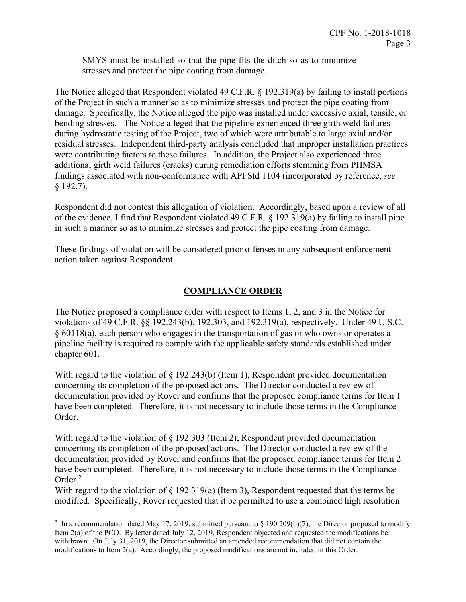SMYS must be installed so that the pipe fits the ditch so as to minimize stresses and protect the pipe coating from damage.

The Notice alleged that Respondent violated 49 C.F.R. § 192.319(a) by failing to install portions of the Project in such a manner so as to minimize stresses and protect the pipe coating from damage. Specifically, the Notice alleged the pipe was installed under excessive axial, tensile, or bending stresses. The Notice alleged that the pipeline experienced three girth weld failures during hydrostatic testing of the Project, two of which were attributable to large axial and/or residual stresses. Independent third-party analysis concluded that improper installation practices were contributing factors to these failures. In addition, the Project also experienced three additional girth weld failures (cracks) during remediation efforts stemming from PHMSA findings associated with non-conformance with API Std 1104 (incorporated by reference, *see* § 192.7).

Respondent did not contest this allegation of violation. Accordingly, based upon a review of all of the evidence, I find that Respondent violated 49 C.F.R. § 192.319(a) by failing to install pipe in such a manner so as to minimize stresses and protect the pipe coating from damage.

These findings of violation will be considered prior offenses in any subsequent enforcement action taken against Respondent.

## **COMPLIANCE ORDER**

The Notice proposed a compliance order with respect to Items 1, 2, and 3 in the Notice for violations of 49 C.F.R. §§ 192.243(b), 192.303, and 192.319(a), respectively. Under 49 U.S.C. § 60118(a), each person who engages in the transportation of gas or who owns or operates a pipeline facility is required to comply with the applicable safety standards established under chapter 601.

With regard to the violation of  $\S$  192.243(b) (Item 1), Respondent provided documentation concerning its completion of the proposed actions. The Director conducted a review of documentation provided by Rover and confirms that the proposed compliance terms for Item 1 have been completed. Therefore, it is not necessary to include those terms in the Compliance Order.

With regard to the violation of § 192.303 (Item 2), Respondent provided documentation concerning its completion of the proposed actions. The Director conducted a review of the documentation provided by Rover and confirms that the proposed compliance terms for Item 2 have been completed. Therefore, it is not necessary to include those terms in the Compliance Order.<sup>2</sup>

With regard to the violation of  $\S$  192.319(a) (Item 3), Respondent requested that the terms be modified. Specifically, Rover requested that it be permitted to use a combined high resolution

 $\overline{a}$  Item 2(a) of the PCO. By letter dated July 12, 2019, Respondent objected and requested the modifications be <sup>2</sup> In a recommendation dated May 17, 2019, submitted pursuant to § 190.209(b)(7), the Director proposed to modify withdrawn. On July 31, 2019, the Director submitted an amended recommendation that did not contain the modifications to Item 2(a). Accordingly, the proposed modifications are not included in this Order.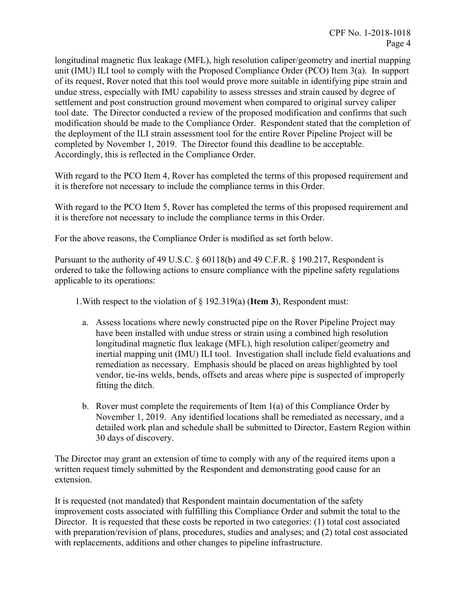longitudinal magnetic flux leakage (MFL), high resolution caliper/geometry and inertial mapping unit (IMU) ILI tool to comply with the Proposed Compliance Order (PCO) Item 3(a). In support of its request, Rover noted that this tool would prove more suitable in identifying pipe strain and undue stress, especially with IMU capability to assess stresses and strain caused by degree of settlement and post construction ground movement when compared to original survey caliper tool date. The Director conducted a review of the proposed modification and confirms that such modification should be made to the Compliance Order. Respondent stated that the completion of the deployment of the ILI strain assessment tool for the entire Rover Pipeline Project will be completed by November 1, 2019. The Director found this deadline to be acceptable. Accordingly, this is reflected in the Compliance Order.

With regard to the PCO Item 4, Rover has completed the terms of this proposed requirement and it is therefore not necessary to include the compliance terms in this Order.

With regard to the PCO Item 5, Rover has completed the terms of this proposed requirement and it is therefore not necessary to include the compliance terms in this Order.

For the above reasons, the Compliance Order is modified as set forth below.

Pursuant to the authority of 49 U.S.C. § 60118(b) and 49 C.F.R. § 190.217, Respondent is ordered to take the following actions to ensure compliance with the pipeline safety regulations applicable to its operations:

1.With respect to the violation of § 192.319(a) (**Item 3**), Respondent must:

- a. Assess locations where newly constructed pipe on the Rover Pipeline Project may have been installed with undue stress or strain using a combined high resolution longitudinal magnetic flux leakage (MFL), high resolution caliper/geometry and inertial mapping unit (IMU) ILI tool. Investigation shall include field evaluations and remediation as necessary. Emphasis should be placed on areas highlighted by tool vendor, tie-ins welds, bends, offsets and areas where pipe is suspected of improperly fitting the ditch.
- b. Rover must complete the requirements of Item 1(a) of this Compliance Order by November 1, 2019. Any identified locations shall be remediated as necessary, and a detailed work plan and schedule shall be submitted to Director, Eastern Region within 30 days of discovery.

The Director may grant an extension of time to comply with any of the required items upon a written request timely submitted by the Respondent and demonstrating good cause for an extension.

It is requested (not mandated) that Respondent maintain documentation of the safety improvement costs associated with fulfilling this Compliance Order and submit the total to the Director. It is requested that these costs be reported in two categories: (1) total cost associated with preparation/revision of plans, procedures, studies and analyses; and (2) total cost associated with replacements, additions and other changes to pipeline infrastructure.